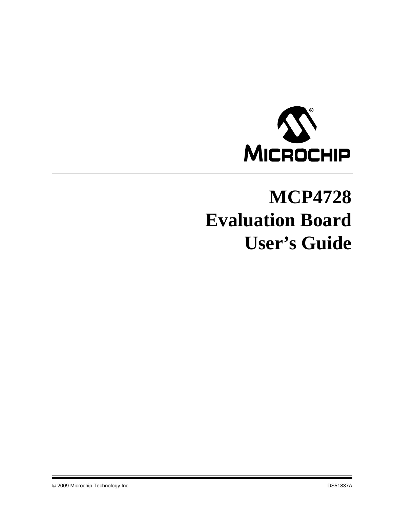

# **MCP4728 Evaluation Board User's Guide**

© 2009 Microchip Technology Inc. DS51837A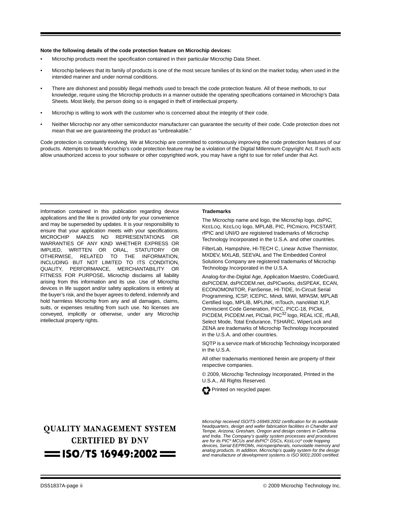#### **Note the following details of the code protection feature on Microchip devices:**

- Microchip products meet the specification contained in their particular Microchip Data Sheet.
- Microchip believes that its family of products is one of the most secure families of its kind on the market today, when used in the intended manner and under normal conditions.
- There are dishonest and possibly illegal methods used to breach the code protection feature. All of these methods, to our knowledge, require using the Microchip products in a manner outside the operating specifications contained in Microchip's Data Sheets. Most likely, the person doing so is engaged in theft of intellectual property.
- Microchip is willing to work with the customer who is concerned about the integrity of their code.
- Neither Microchip nor any other semiconductor manufacturer can guarantee the security of their code. Code protection does not mean that we are guaranteeing the product as "unbreakable."

Code protection is constantly evolving. We at Microchip are committed to continuously improving the code protection features of our products. Attempts to break Microchip's code protection feature may be a violation of the Digital Millennium Copyright Act. If such acts allow unauthorized access to your software or other copyrighted work, you may have a right to sue for relief under that Act.

Information contained in this publication regarding device applications and the like is provided only for your convenience and may be superseded by updates. It is your responsibility to ensure that your application meets with your specifications. MICROCHIP MAKES NO REPRESENTATIONS OR WARRANTIES OF ANY KIND WHETHER EXPRESS OR IMPLIED, WRITTEN OR ORAL, STATUTORY OR OTHERWISE, RELATED TO THE INFORMATION, INCLUDING BUT NOT LIMITED TO ITS CONDITION, QUALITY, PERFORMANCE, MERCHANTABILITY OR FITNESS FOR PURPOSE**.** Microchip disclaims all liability arising from this information and its use. Use of Microchip devices in life support and/or safety applications is entirely at the buyer's risk, and the buyer agrees to defend, indemnify and hold harmless Microchip from any and all damages, claims, suits, or expenses resulting from such use. No licenses are conveyed, implicitly or otherwise, under any Microchip intellectual property rights.

#### **Trademarks**

The Microchip name and logo, the Microchip logo, dsPIC, KEELOQ, KEELOQ logo, MPLAB, PIC, PICmicro, PICSTART, rfPIC and UNI/O are registered trademarks of Microchip Technology Incorporated in the U.S.A. and other countries.

FilterLab, Hampshire, HI-TECH C, Linear Active Thermistor, MXDEV, MXLAB, SEEVAL and The Embedded Control Solutions Company are registered trademarks of Microchip Technology Incorporated in the U.S.A.

Analog-for-the-Digital Age, Application Maestro, CodeGuard, dsPICDEM, dsPICDEM.net, dsPICworks, dsSPEAK, ECAN, ECONOMONITOR, FanSense, HI-TIDE, In-Circuit Serial Programming, ICSP, ICEPIC, Mindi, MiWi, MPASM, MPLAB Certified logo, MPLIB, MPLINK, mTouch, nanoWatt XLP, Omniscient Code Generation, PICC, PICC-18, PICkit, PICDEM, PICDEM.net, PICtail, PIC<sup>32</sup> logo, REAL ICE, rfLAB, Select Mode, Total Endurance, TSHARC, WiperLock and ZENA are trademarks of Microchip Technology Incorporated in the U.S.A. and other countries.

SQTP is a service mark of Microchip Technology Incorporated in the U.S.A.

All other trademarks mentioned herein are property of their respective companies.

© 2009, Microchip Technology Incorporated, Printed in the U.S.A., All Rights Reserved.



# **QUALITY MANAGEMENT SYSTEM CERTIFIED BY DNV**  $=$  ISO/TS 16949:2002  $=$

*Microchip received ISO/TS-16949:2002 certification for its worldwide headquarters, design and wafer fabrication facilities in Chandler and Tempe, Arizona; Gresham, Oregon and design centers in California and India. The Company's quality system processes and procedures are for its PIC® MCUs and dsPIC® DSCs, KEELOQ® code hopping devices, Serial EEPROMs, microperipherals, nonvolatile memory and analog products. In addition, Microchip's quality system for the design and manufacture of development systems is ISO 9001:2000 certified.*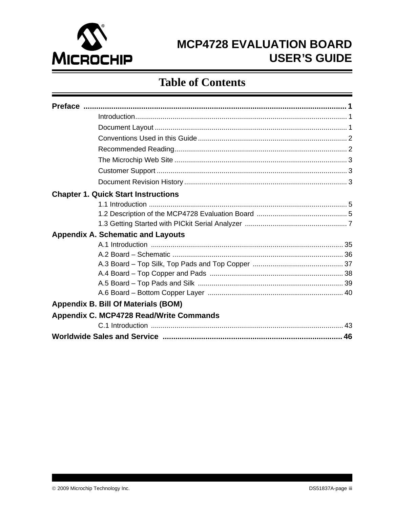

# **MCP4728 EVALUATION BOARD USER'S GUIDE**

# **Table of Contents**

| <b>Chapter 1. Quick Start Instructions</b> |
|--------------------------------------------|
|                                            |
|                                            |
|                                            |
| <b>Appendix A. Schematic and Layouts</b>   |
|                                            |
|                                            |
|                                            |
|                                            |
|                                            |
|                                            |
| <b>Appendix B. Bill Of Materials (BOM)</b> |
| Appendix C. MCP4728 Read/Write Commands    |
|                                            |
|                                            |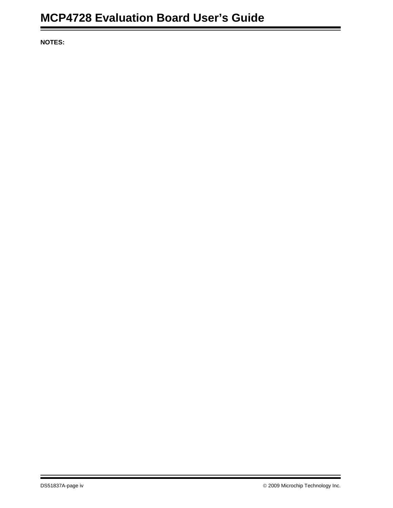**NOTES:**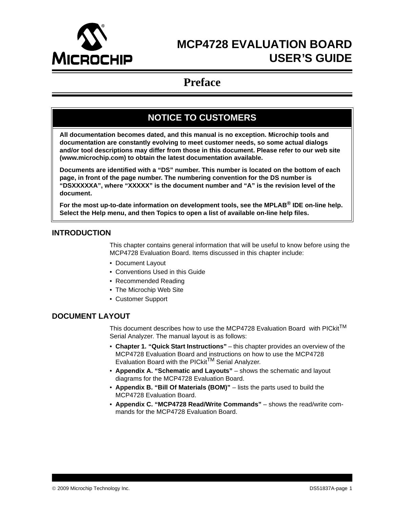<span id="page-4-0"></span>

# **MCP4728 EVALUATION BOARD USER'S GUIDE**

# **Preface**

# **NOTICE TO CUSTOMERS**

**All documentation becomes dated, and this manual is no exception. Microchip tools and documentation are constantly evolving to meet customer needs, so some actual dialogs and/or tool descriptions may differ from those in this document. Please refer to our web site (www.microchip.com) to obtain the latest documentation available.**

**Documents are identified with a "DS" number. This number is located on the bottom of each page, in front of the page number. The numbering convention for the DS number is "DSXXXXXA", where "XXXXX" is the document number and "A" is the revision level of the document.**

**For the most up-to-date information on development tools, see the MPLAB® IDE on-line help. Select the Help menu, and then Topics to open a list of available on-line help files.**

### <span id="page-4-1"></span>**INTRODUCTION**

This chapter contains general information that will be useful to know before using the MCP4728 Evaluation Board. Items discussed in this chapter include:

- Document Layout
- Conventions Used in this Guide
- Recommended Reading
- The Microchip Web Site
- Customer Support

### <span id="page-4-2"></span>**DOCUMENT LAYOUT**

This document describes how to use the MCP4728 Evaluation Board with PICkit<sup>TM</sup> Serial Analyzer. The manual layout is as follows:

- **[Chapter 1. "Quick Start Instructions"](#page-8-3)** this chapter provides an overview of the MCP4728 Evaluation Board and instructions on how to use the MCP4728 Evaluation Board with the PICkit<sup>TM</sup> Serial Analyzer.
- **[Appendix A. "Schematic and Layouts"](#page-38-2)** shows the schematic and layout diagrams for the MCP4728 Evaluation Board.
- **[Appendix B. "Bill Of Materials \(BOM\)"](#page-44-1)** lists the parts used to build the MCP4728 Evaluation Board.
- **[Appendix C. "MCP4728 Read/Write Commands"](#page-46-2)** shows the read/write commands for the MCP4728 Evaluation Board.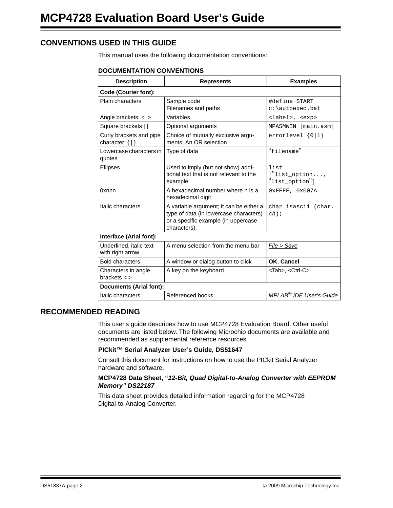### <span id="page-5-0"></span>**CONVENTIONS USED IN THIS GUIDE**

This manual uses the following documentation conventions:

#### **DOCUMENTATION CONVENTIONS**

| <b>Description</b>                              | <b>Represents</b>                                                                                                                        | <b>Examples</b>                           |  |  |  |
|-------------------------------------------------|------------------------------------------------------------------------------------------------------------------------------------------|-------------------------------------------|--|--|--|
| Code (Courier font):                            |                                                                                                                                          |                                           |  |  |  |
| Plain characters                                | Sample code<br>Filenames and paths                                                                                                       | #define START<br>c:\autoexec.bat          |  |  |  |
| Angle brackets: $\lt$ >                         | Variables                                                                                                                                | <label>, <exp></exp></label>              |  |  |  |
| Square brackets []                              | Optional arguments                                                                                                                       | MPASMWIN [main.asm]                       |  |  |  |
| Curly brackets and pipe<br>character: $\{   \}$ | Choice of mutually exclusive argu-<br>ments; An OR selection                                                                             | errorlevel $\{0 1\}$                      |  |  |  |
| Lowercase characters in<br>quotes               | Type of data                                                                                                                             | $\sqrt[n]{\text{filename}}$               |  |  |  |
| Ellipses                                        | Used to imply (but not show) addi-<br>tional text that is not relevant to the<br>example                                                 | list<br>$["list_option$<br>"list_option"] |  |  |  |
| 0xnnn                                           | A hexadecimal number where n is a<br>hexadecimal digit                                                                                   | OXFFFF, 0x007A                            |  |  |  |
| Italic characters                               | A variable argument; it can be either a<br>type of data (in lowercase characters)<br>or a specific example (in uppercase<br>characters). | char isascii (char,<br>$ch)$ ;            |  |  |  |
| Interface (Arial font):                         |                                                                                                                                          |                                           |  |  |  |
| Underlined, italic text<br>with right arrow     | A menu selection from the menu bar                                                                                                       | File > Save                               |  |  |  |
| <b>Bold characters</b>                          | A window or dialog button to click                                                                                                       | OK, Cancel                                |  |  |  |
| Characters in angle<br>brackets $\lt$ >         | A key on the keyboard                                                                                                                    | <tab>, <ctrl-c></ctrl-c></tab>            |  |  |  |
| Documents (Arial font):                         |                                                                                                                                          |                                           |  |  |  |
| Italic characters                               | Referenced books                                                                                                                         | MPLAB <sup>®</sup> IDE User's Guide       |  |  |  |

### <span id="page-5-1"></span>**RECOMMENDED READING**

This user's guide describes how to use MCP4728 Evaluation Board. Other useful documents are listed below. The following Microchip documents are available and recommended as supplemental reference resources.

#### **PICkit™ Serial Analyzer User's Guide, DS51647**

Consult this document for instructions on how to use the PICkit Serial Analyzer hardware and software.

#### **MCP4728 Data Sheet, "***12-Bit, Quad Digital-to-Analog Converter with EEPROM Memory" DS22187*

This data sheet provides detailed information regarding for the MCP4728 Digital-to-Analog Converter.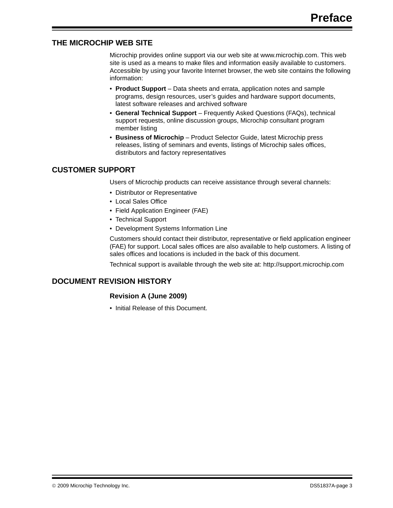### <span id="page-6-0"></span>**THE MICROCHIP WEB SITE**

Microchip provides online support via our web site at www.microchip.com. This web site is used as a means to make files and information easily available to customers. Accessible by using your favorite Internet browser, the web site contains the following information:

- **Product Support** Data sheets and errata, application notes and sample programs, design resources, user's guides and hardware support documents, latest software releases and archived software
- **General Technical Support** Frequently Asked Questions (FAQs), technical support requests, online discussion groups, Microchip consultant program member listing
- **Business of Microchip** Product Selector Guide, latest Microchip press releases, listing of seminars and events, listings of Microchip sales offices, distributors and factory representatives

### <span id="page-6-1"></span>**CUSTOMER SUPPORT**

Users of Microchip products can receive assistance through several channels:

- Distributor or Representative
- Local Sales Office
- Field Application Engineer (FAE)
- Technical Support
- Development Systems Information Line

Customers should contact their distributor, representative or field application engineer (FAE) for support. Local sales offices are also available to help customers. A listing of sales offices and locations is included in the back of this document.

Technical support is available through the web site at: http://support.microchip.com

### <span id="page-6-2"></span>**DOCUMENT REVISION HISTORY**

#### **Revision A (June 2009)**

• Initial Release of this Document.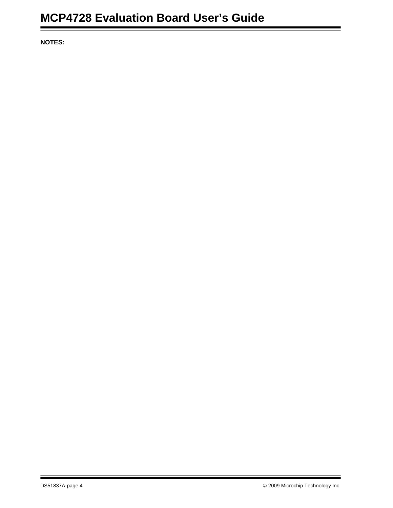**NOTES:**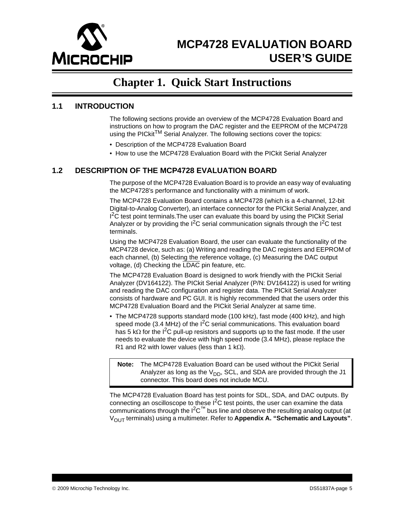

# <span id="page-8-3"></span>**MCP4728 EVALUATION BOARD USER'S GUIDE**

# **Chapter 1. Quick Start Instructions**

### <span id="page-8-1"></span><span id="page-8-0"></span>**1.1 INTRODUCTION**

The following sections provide an overview of the MCP4728 Evaluation Board and instructions on how to program the DAC register and the EEPROM of the MCP4728 using the PICkit<sup>TM</sup> Serial Analyzer. The following sections cover the topics:

- Description of the MCP4728 Evaluation Board
- How to use the MCP4728 Evaluation Board with the PICkit Serial Analyzer

### <span id="page-8-2"></span>**1.2 DESCRIPTION OF THE MCP4728 EVALUATION BOARD**

The purpose of the MCP4728 Evaluation Board is to provide an easy way of evaluating the MCP4728's performance and functionality with a minimum of work.

The MCP4728 Evaluation Board contains a MCP4728 (which is a 4-channel, 12-bit Digital-to-Analog Converter), an interface connector for the PICkit Serial Analyzer, and <sup>2</sup>C test point terminals. The user can evaluate this board by using the PICkit Serial Analyzer or by providing the  $I^2C$  serial communication signals through the  $I^2C$  test terminals.

Using the MCP4728 Evaluation Board, the user can evaluate the functionality of the MCP4728 device, such as: (a) Writing and reading the DAC registers and EEPROM of each channel, (b) Selecting the reference voltage, (c) Measuring the DAC output voltage, (d) Checking the LDAC pin feature, etc.

The MCP4728 Evaluation Board is designed to work friendly with the PICkit Serial Analyzer (DV164122). The PICkit Serial Analyzer (P/N: DV164122) is used for writing and reading the DAC configuration and register data. The PICkit Serial Analyzer consists of hardware and PC GUI. It is highly recommended that the users order this MCP4728 Evaluation Board and the PICkit Serial Analyzer at same time.

• The MCP4728 supports standard mode (100 kHz), fast mode (400 kHz), and high speed mode (3.4 MHz) of the  $I<sup>2</sup>C$  serial communications. This evaluation board has 5 kΩ for the  $1^2C$  pull-up resistors and supports up to the fast mode. If the user needs to evaluate the device with high speed mode (3.4 MHz), please replace the R1 and R2 with lower values (less than 1 kΩ).

**Note:** The MCP4728 Evaluation Board can be used without the PICkit Serial Analyzer as long as the  $V_{DD}$ , SCL, and SDA are provided through the J1 connector. This board does not include MCU.

The MCP4728 Evaluation Board has test points for SDL, SDA, and DAC outputs. By connecting an oscilloscope to these  $1<sup>2</sup>C$  test points, the user can examine the data communications through the  $1^2C^{TM}$  bus line and observe the resulting analog output (at V<sub>OUT</sub> terminals) using a multimeter. Refer to **[Appendix A. "Schematic and Layouts"](#page-38-2)**.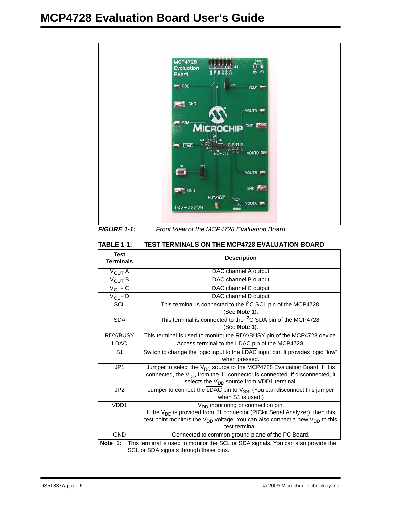

<span id="page-9-1"></span>*FIGURE 1-1: Front View of the MCP4728 Evaluation Board.*

| <b>TABLE 1-1:</b> | TEST TERMINALS ON THE MCP4728 EVALUATION BOARD |
|-------------------|------------------------------------------------|
|                   |                                                |

| <b>Test</b><br><b>Terminals</b>                                                                | <b>Description</b>                                                                                                                                                                                                                      |  |
|------------------------------------------------------------------------------------------------|-----------------------------------------------------------------------------------------------------------------------------------------------------------------------------------------------------------------------------------------|--|
| V <sub>OUT</sub> A                                                                             | DAC channel A output                                                                                                                                                                                                                    |  |
| $V_{\text{OUT}}B$                                                                              | DAC channel B output                                                                                                                                                                                                                    |  |
| $V_{\text{OUT}}$ C                                                                             | DAC channel C output                                                                                                                                                                                                                    |  |
| $V_{\text{OUT}}$ D                                                                             | DAC channel D output                                                                                                                                                                                                                    |  |
| SCL                                                                                            | This terminal is connected to the I <sup>2</sup> C SCL pin of the MCP4728.<br>(See Note 1).                                                                                                                                             |  |
| <b>SDA</b>                                                                                     | This terminal is connected to the $1^2C$ SDA pin of the MCP4728.<br>(See Note 1).                                                                                                                                                       |  |
| RDY/BUSY                                                                                       | This terminal is used to monitor the RDY/BUSY pin of the MCP4728 device.                                                                                                                                                                |  |
| <b>LDAC</b>                                                                                    | Access terminal to the LDAC pin of the MCP4728.                                                                                                                                                                                         |  |
| S <sub>1</sub>                                                                                 | Switch to change the logic input to the LDAC input pin. It provides logic "low"<br>when pressed.                                                                                                                                        |  |
| JP <sub>1</sub>                                                                                | Jumper to select the V <sub>DD</sub> source to the MCP4728 Evaluation Board. If it is<br>connected, the $V_{DD}$ from the J1 connector is connected. If disconnected, it<br>selects the $V_{DD}$ source from VDD1 terminal.             |  |
| JP <sub>2</sub>                                                                                | Jumper to connect the $\overline{\text{LDAC}}$ pin to $\vee_{SS}$ . (You can disconnect this jumper<br>when S1 is used.)                                                                                                                |  |
| VD <sub>D</sub> 1                                                                              | $V_{DD}$ monitoring or connection pin.<br>If the $V_{DD}$ is provided from J1 connector (PIC kit Serial Analyzer), then this<br>test point monitors the $V_{DD}$ voltage. You can also connect a new $V_{DD}$ to this<br>test terminal. |  |
| <b>GND</b>                                                                                     | Connected to common ground plane of the PC Board.                                                                                                                                                                                       |  |
| Note $A_1$ . This terminal is used to menitor the CCL or CDA signals. Vay can also provide the |                                                                                                                                                                                                                                         |  |

<span id="page-9-0"></span>**Note 1:** This terminal is used to monitor the SCL or SDA signals. You can also provide the SCL or SDA signals through these pins.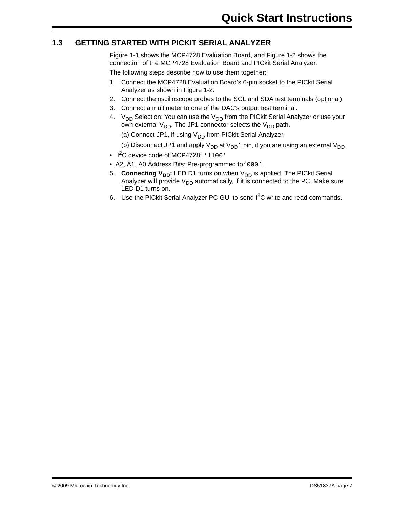### <span id="page-10-0"></span>**1.3 GETTING STARTED WITH PICKIT SERIAL ANALYZER**

[Figure 1-1](#page-9-1) shows the MCP4728 Evaluation Board, and [Figure 1-2](#page-11-0) shows the connection of the MCP4728 Evaluation Board and PICkit Serial Analyzer.

The following steps describe how to use them together:

- 1. Connect the MCP4728 Evaluation Board's 6-pin socket to the PICkit Serial Analyzer as shown in [Figure 1-2.](#page-11-0)
- 2. Connect the oscilloscope probes to the SCL and SDA test terminals (optional).
- 3. Connect a multimeter to one of the DAC's output test terminal.
- 4.  $V_{DD}$  Selection: You can use the  $V_{DD}$  from the PICkit Serial Analyzer or use your own external  $V_{DD}$ . The JP1 connector selects the  $V_{DD}$  path.
	- (a) Connect JP1, if using  $V_{DD}$  from PICkit Serial Analyzer,
	- (b) Disconnect JP1 and apply  $V_{DD}$  at  $V_{DD}$ 1 pin, if you are using an external  $V_{DD}$ .
- I<sup>2</sup>C device code of MCP4728: '1100'
- A2, A1, A0 Address Bits: Pre-programmed to'000'.
- 5. **Connecting V<sub>DD</sub>:** LED D1 turns on when V<sub>DD</sub> is applied. The PICkit Serial Analyzer will provide  $V_{DD}$  automatically, if it is connected to the PC. Make sure LED D1 turns on.
- 6. Use the PICkit Serial Analyzer PC GUI to send  $1^2C$  write and read commands.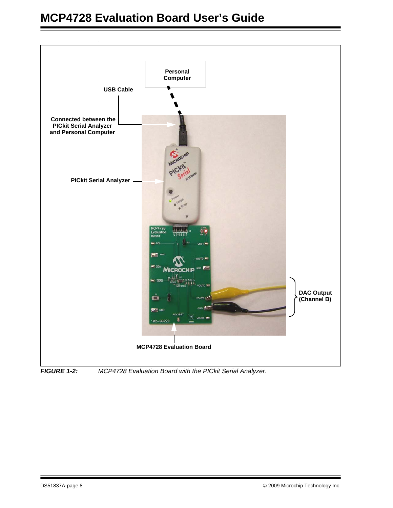# **MCP4728 Evaluation Board User's Guide**



<span id="page-11-0"></span>*FIGURE 1-2: MCP4728 Evaluation Board with the PICkit Serial Analyzer.*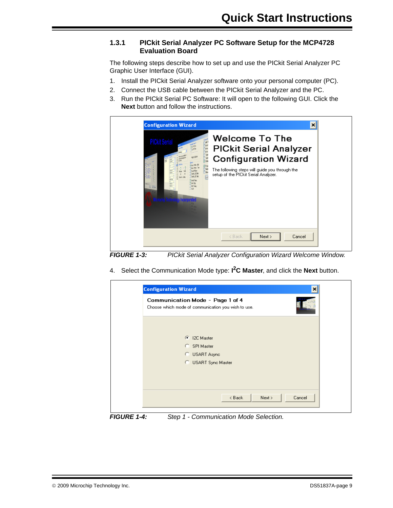#### **1.3.1 PICkit Serial Analyzer PC Software Setup for the MCP4728 Evaluation Board**

The following steps describe how to set up and use the PICkit Serial Analyzer PC Graphic User Interface (GUI).

- 1. Install the PICkit Serial Analyzer software onto your personal computer (PC).
- 2. Connect the USB cable between the PICkit Serial Analyzer and the PC.
- 3. Run the PICkit Serial PC Software: It will open to the following GUI. Click the **Next** button and follow the instructions.



*FIGURE 1-3: PICkit Serial Analyzer Configuration Wizard Welcome Window.*

4. Select the Communication Mode type: **I 2C Master**, and click the **Next** button.

| Communication Mode - Page 1 of 4<br>Choose which mode of communication you wish to use. |                  |        |
|-----------------------------------------------------------------------------------------|------------------|--------|
|                                                                                         |                  |        |
| Œ.<br><b>I2C Master</b>                                                                 |                  |        |
| C SPI Master                                                                            |                  |        |
| C USART Async                                                                           |                  |        |
| C USART Sync Master                                                                     |                  |        |
|                                                                                         |                  |        |
|                                                                                         |                  |        |
|                                                                                         | < Back<br>Next > | Cancel |

*FIGURE 1-4: Step 1 - Communication Mode Selection.*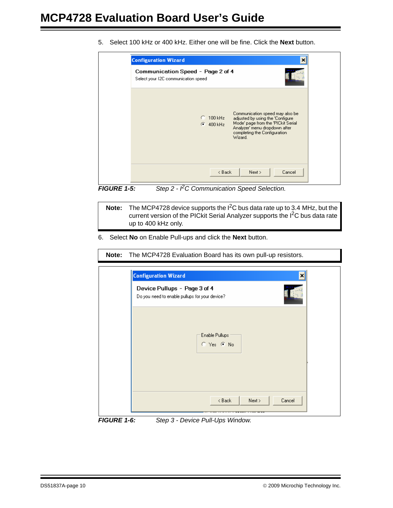- **Configuration Wizard**  $\blacksquare$ Communication Speed - Page 2 of 4 Select your I2C communication speed Communication speed may also be  $C$  100 kHz adjusted by using the 'Configure'<br>Mode' page from the 'PICkit Serial  $\odot$  400 kHz Analyzer menu dropdown after<br>completing the Configuration<br>Wizard.  ${\sf Next}$  > Cancel  $\leq$  Back
- 5. Select 100 kHz or 400 kHz. Either one will be fine. Click the **Next** button.

*FIGURE 1-5: Step 2 - <sup>2</sup>C Communication Speed Selection.* 

**Note:** The MCP4728 device supports the I2C bus data rate up to 3.4 MHz, but the current version of the PICkit Serial Analyzer supports the I<sup>2</sup>C bus data rate up to 400 kHz only.

6. Select **No** on Enable Pull-ups and click the **Next** button.

**Note:** The MCP4728 Evaluation Board has its own pull-up resistors.

| Device Pullups - Page 3 of 4<br>Do you need to enable pullups for your device? |                              |        |        |
|--------------------------------------------------------------------------------|------------------------------|--------|--------|
|                                                                                | Enable Pullups<br>C Yes C No |        |        |
|                                                                                | $8$ Back                     | Next > | Cancel |

*FIGURE 1-6: Step 3 - Device Pull-Ups Window.*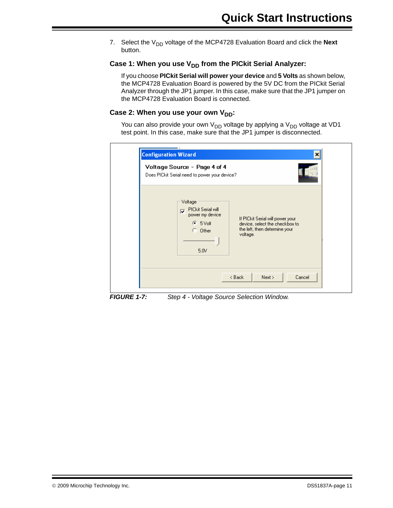7. Select the V<sub>DD</sub> voltage of the MCP4728 Evaluation Board and click the Next button.

### Case 1: When you use V<sub>DD</sub> from the PICkit Serial Analyzer:

If you choose **PICkit Serial will power your device** and **5 Volts** as shown below, the MCP4728 Evaluation Board is powered by the 5V DC from the PICkit Serial Analyzer through the JP1 jumper. In this case, make sure that the JP1 jumper on the MCP4728 Evaluation Board is connected.

#### Case 2: When you use your own V<sub>DD</sub>:

You can also provide your own  $V_{DD}$  voltage by applying a  $V_{DD}$  voltage at VD1 test point. In this case, make sure that the JP1 jumper is disconnected.

*FIGURE 1-7: Step 4 - Voltage Source Selection Window.*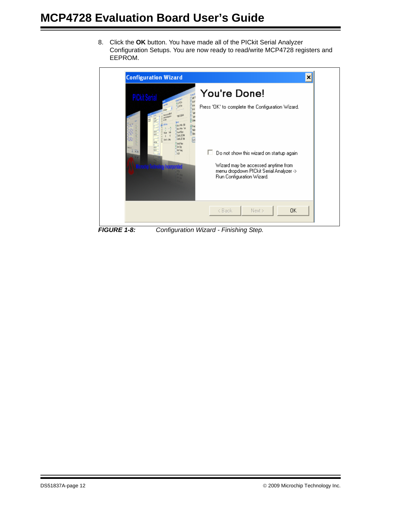8. Click the **OK** button. You have made all of the PICkit Serial Analyzer Configuration Setups. You are now ready to read/write MCP4728 registers and EEPROM.

| ads 37 be<br>EV.<br>indr <sup>3</sup> an<br>Joile<br>l an<br><b>JO FINE</b><br>$\Box$ Do not show this wizard on startup again<br>Wizard may be accessed anytime from<br>il matrimellet<br>menu dropdown PICkit Serial Analyzer -><br>Run Configuration Wizard. | ink<br>Umb<br><b>PICkit Serial</b><br>1,200<br>1270<br>at BM | <b>You're Done!</b><br>Press 'OK' to complete the Configuration Wizard. |
|-----------------------------------------------------------------------------------------------------------------------------------------------------------------------------------------------------------------------------------------------------------------|--------------------------------------------------------------|-------------------------------------------------------------------------|
|                                                                                                                                                                                                                                                                 |                                                              |                                                                         |

*FIGURE 1-8: Configuration Wizard - Finishing Step.*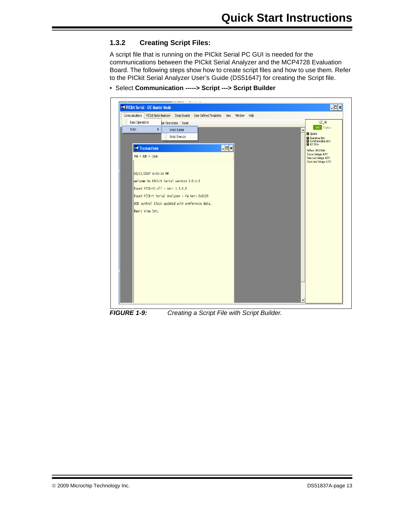### **1.3.2 Creating Script Files:**

A script file that is running on the PICkit Serial PC GUI is needed for the communications between the PICkit Serial Analyzer and the MCP4728 Evaluation Board. The following steps show how to create script files and how to use them. Refer to the PICkit Serial Analyzer User's Guide (DS51647) for creating the Script file.

• Select **Communication -----> Script ---> Script Builder**



*FIGURE 1-9: Creating a Script File with Script Builder.*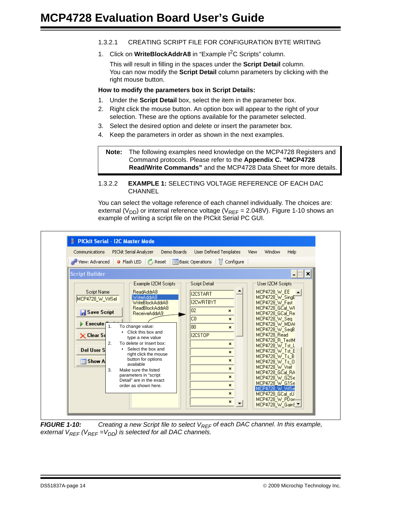#### 1.3.2.1 CREATING SCRIPT FILE FOR CONFIGURATION BYTE WRITING

1. Click on **WriteBlockAddrA8** in "Example I<sup>2</sup>C Scripts" column.

This will result in filling in the spaces under the **Script Detail** column. You can now modify the **Script Detail** column parameters by clicking with the right mouse button.

#### **How to modify the parameters box in Script Details:**

- 1. Under the **Script Detail** box, select the item in the parameter box.
- 2. Right click the mouse button. An option box will appear to the right of your selection. These are the options available for the parameter selected.
- 3. Select the desired option and delete or insert the parameter box.
- 4. Keep the parameters in order as shown in the next examples.

#### 1.3.2.2 **EXAMPLE 1:** SELECTING VOLTAGE REFERENCE OF EACH DAC **CHANNEL**

You can select the voltage reference of each channel individually. The choices are: external (V<sub>DD</sub>) or internal reference voltage (V<sub>REF</sub> = 2.048V). [Figure 1-10](#page-17-0) shows an example of writing a script file on the PICkit Serial PC GUI.



<span id="page-17-0"></span>*FIGURE 1-10: Creating a new Script file to select V<sub>RFF</sub> of each DAC channel. In this example, external*  $V_{REF}$  *(* $V_{REF}$  *=* $V_{DD}$ *) is selected for all DAC channels.* 

**Note:** The following examples need knowledge on the MCP4728 Registers and Command protocols. Please refer to the **[Appendix C. "MCP4728](#page-46-2)  [Read/Write Commands"](#page-46-2)** and the MCP4728 Data Sheet for more details.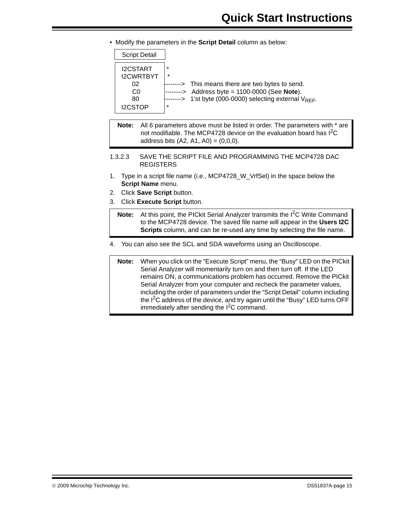• Modify the parameters in the **Script Detail** column as below:

| <b>Script Detail</b>                |                    |                                                                 |
|-------------------------------------|--------------------|-----------------------------------------------------------------|
| <b>I2CSTART</b><br><b>I2CWRTBYT</b> | $\star$<br>$\star$ |                                                                 |
| 02                                  |                    | This means there are two bytes to send.                         |
| C0                                  |                    | -> Address byte = $1100-0000$ (See Note).                       |
| 80                                  |                    | ---> 1'st byte (000-0000) selecting external V <sub>RFF</sub> . |
| I2CSTOP                             | $\star$            |                                                                 |

**Note:** All 6 parameters above must be listed in order. The parameters with \* are not modifiable. The MCP4728 device on the evaluation board has  $1^2C$ address bits  $(A2, A1, A0) = (0,0,0)$ .

- 1.3.2.3 SAVE THE SCRIPT FILE AND PROGRAMMING THE MCP4728 DAC REGISTERS
- 1. Type in a script file name (i.e., MCP4728\_W\_VrfSel) in the space below the **Script Name** menu.
- 2. Click **Save Script** button.
- 3. Click **Execute Script** button.

**Note:** At this point, the PICkit Serial Analyzer transmits the I<sup>2</sup>C Write Command to the MCP4728 device. The saved file name will appear in the **Users I2C Scripts** column, and can be re-used any time by selecting the file name.

- 4. You can also see the SCL and SDA waveforms using an Oscilloscope.
	- **Note:** When you click on the "Execute Script" menu, the "Busy" LED on the PICkit Serial Analyzer will momentarily turn on and then turn off. If the LED remains ON, a communications problem has occurred. Remove the PICkit Serial Analyzer from your computer and recheck the parameter values, including the order of parameters under the "Script Detail" column including the  $I^2C$  address of the device, and try again until the "Busy" LED turns OFF immediately after sending the  $I^2C$  command.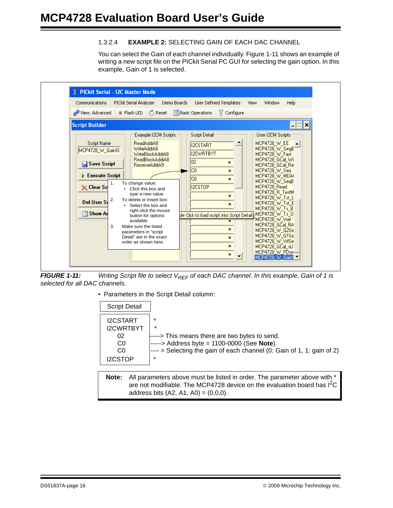#### 1.3.2.4 **EXAMPLE 2:** SELECTING GAIN OF EACH DAC CHANNEL

You can select the Gain of each channel individually. [Figure 1-11](#page-19-0) shows an example of writing a new script file on the PICkit Serial PC GUI for selecting the gain option. In this example, Gain of 1 is selected.



<span id="page-19-0"></span>**FIGURE 1-11:** *Writing Script file to select V<sub>RFF</sub> of each DAC channel. In this example, Gain of 1 is selected for all DAC channels.*

• Parameters in the Script Detail column:

| <b>Script Detail</b> |                                                                                          |
|----------------------|------------------------------------------------------------------------------------------|
| <b>I2CSTART</b>      | $\star$                                                                                  |
| <b>I2CWRTBYT</b>     | $\star$                                                                                  |
| 02                   | ----> This means there are two bytes to send.                                            |
| C <sub>0</sub>       | $---$ > Address byte = 1100-0000 (See Note).                                             |
| C <sub>0</sub>       | $\left  \dots \right $ > Selecting the gain of each channel (0: Gain of 1, 1: gain of 2) |
| <b>I2CSTOP</b>       | $\star$                                                                                  |

**Note:** All parameters above must be listed in order. The parameter above with \* are not modifiable. The MCP4728 device on the evaluation board has  ${}^{12}C$ address bits  $(A2, A1, A0) = (0,0,0)$ .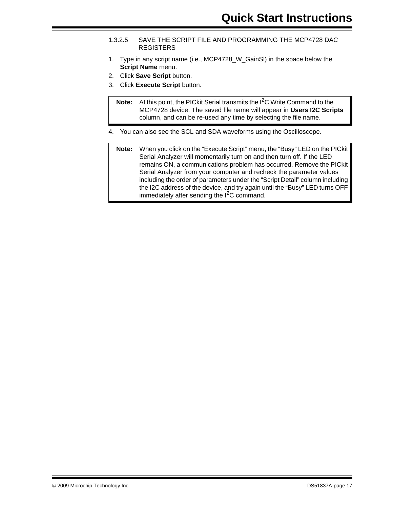- 1.3.2.5 SAVE THE SCRIPT FILE AND PROGRAMMING THE MCP4728 DAC REGISTERS
- 1. Type in any script name (i.e., MCP4728\_W\_GainSl) in the space below the **Script Name** menu.
- 2. Click **Save Script** button.
- 3. Click **Execute Script** button.

**Note:** At this point, the PICkit Serial transmits the I<sup>2</sup>C Write Command to the MCP4728 device. The saved file name will appear in **Users I2C Scripts** column, and can be re-used any time by selecting the file name.

4. You can also see the SCL and SDA waveforms using the Oscilloscope.

```
Note: When you click on the "Execute Script" menu, the "Busy" LED on the PICkit 
Serial Analyzer will momentarily turn on and then turn off. If the LED 
remains ON, a communications problem has occurred. Remove the PICkit 
Serial Analyzer from your computer and recheck the parameter values 
including the order of parameters under the "Script Detail" column including 
the I2C address of the device, and try again until the "Busy" LED turns OFF 
immediately after sending the I^2C command.
```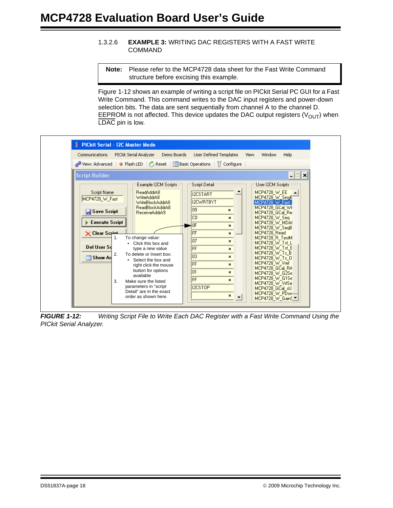#### 1.3.2.6 **EXAMPLE 3:** WRITING DAC REGISTERS WITH A FAST WRITE COMMAND

**Note:** Please refer to the MCP4728 data sheet for the Fast Write Command structure before excising this example.

[Figure 1-12](#page-21-0) shows an example of writing a script file on PICkit Serial PC GUI for a Fast Write Command. This command writes to the DAC input registers and power-down selection bits. The data are sent sequentially from channel A to the channel D. EEPROM is not affected. This device updates the DAC output registers  $(V_{\text{OUT}})$  when LDAC pin is low.



<span id="page-21-0"></span>*FIGURE 1-12: Writing Script File to Write Each DAC Register with a Fast Write Command Using the PICkit Serial Analyzer.*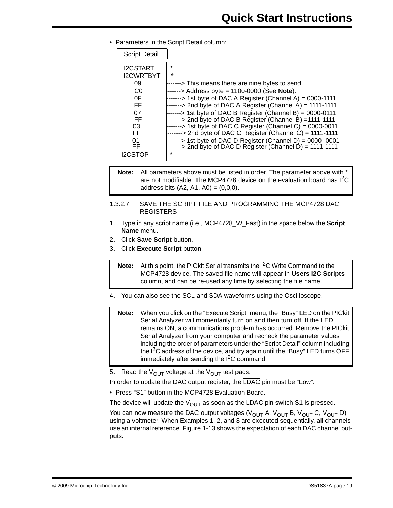• Parameters in the Script Detail column:

| <b>Script Detail</b> |                                                                  |
|----------------------|------------------------------------------------------------------|
| <b>I2CSTART</b>      | *                                                                |
| <b>I2CWRTBYT</b>     | $\star$                                                          |
| 09                   | -> This means there are nine bytes to send.                      |
| C <sub>0</sub>       | $\geq$ Address byte = 1100-0000 (See Note).                      |
| 0F                   | $\rightarrow$ 1st byte of DAC A Register (Channel A) = 0000-1111 |
| FF.                  | -> 2nd byte of DAC A Register (Channel A) = 1111-1111            |
| 07                   | -> 1st byte of DAC B Register (Channel B) = 0000-0111            |
| FF                   | -> 2nd byte of DAC B Register (Channel B) =1111-1111             |
| 03                   | $\rightarrow$ 1st byte of DAC C Register (Channel C) = 0000-0011 |
| FF                   | -> 2nd byte of DAC C Register (Channel C) = 1111-1111            |
| 01                   | -> 1st byte of DAC D Register (Channel D) = 0000 -0001           |
| FF                   | -> 2nd byte of DAC D Register (Channel D) = 1111-1111            |
| <b>I2CSTOP</b>       | $\star$                                                          |

**Note:** All parameters above must be listed in order. The parameter above with \* are not modifiable. The MCP4728 device on the evaluation board has  $1^2C$ address bits  $(A2, A1, A0) = (0,0,0)$ .

#### 1.3.2.7 SAVE THE SCRIPT FILE AND PROGRAMMING THE MCP4728 DAC **REGISTERS**

- 1. Type in any script name (i.e., MCP4728\_W\_Fast) in the space below the **Script Name** menu.
- 2. Click **Save Script** button.
- 3. Click **Execute Script** button.

**Note:** At this point, the PICkit Serial transmits the I<sup>2</sup>C Write Command to the MCP4728 device. The saved file name will appear in **Users I2C Scripts** column, and can be re-used any time by selecting the file name.

- 4. You can also see the SCL and SDA waveforms using the Oscilloscope.
	- **Note:** When you click on the "Execute Script" menu, the "Busy" LED on the PICkit Serial Analyzer will momentarily turn on and then turn off. If the LED remains ON, a communications problem has occurred. Remove the PICkit Serial Analyzer from your computer and recheck the parameter values including the order of parameters under the "Script Detail" column including the  $I^2C$  address of the device, and try again until the "Busy" LED turns OFF immediately after sending the  $I^2C$  command.
- 5. Read the  $V_{\text{OUT}}$  voltage at the  $V_{\text{OUT}}$  test pads:

In order to update the DAC output register, the LDAC pin must be "Low".

• Press "S1" button in the MCP4728 Evaluation Board.

The device will update the  $V_{\text{OUT}}$  as soon as the LDAC pin switch S1 is pressed.

You can now measure the DAC output voltages ( $V_{OUT}$  A,  $V_{OUT}$  B,  $V_{OUT}$  C,  $V_{OUT}$  D) using a voltmeter. When Examples 1, 2, and 3 are executed sequentially, all channels use an internal reference. [Figure 1-13](#page-23-0) shows the expectation of each DAC channel outputs.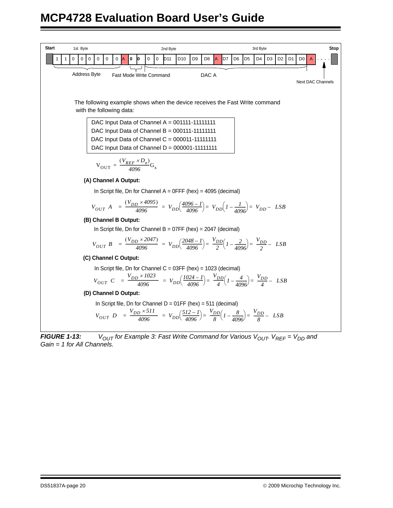# **MCP4728 Evaluation Board User's Guide**



<span id="page-23-0"></span>*Gain = 1 for All Channels.*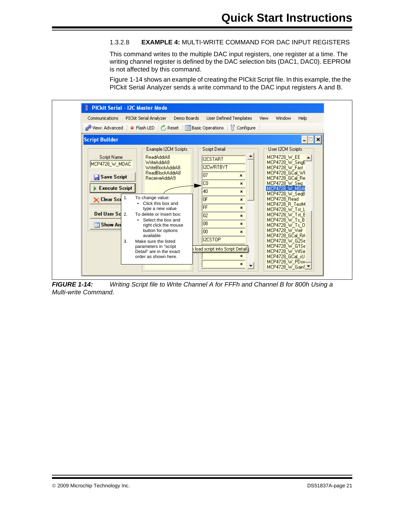#### 1.3.2.8 **EXAMPLE 4:** MULTI-WRITE COMMAND FOR DAC INPUT REGISTERS

This command writes to the multiple DAC input registers, one register at a time. The writing channel register is defined by the DAC selection bits (DAC1, DAC0). EEPROM is not affected by this command.

[Figure 1-14](#page-24-0) shows an example of creating the PICkit Script file. In this example, the the PICkit Serial Analyzer sends a write command to the DAC input registers A and B.



<span id="page-24-0"></span>*FIGURE 1-14: Writing Script file to Write Channel A for FFFh and Channel B for 800h Using a Multi-write Command.*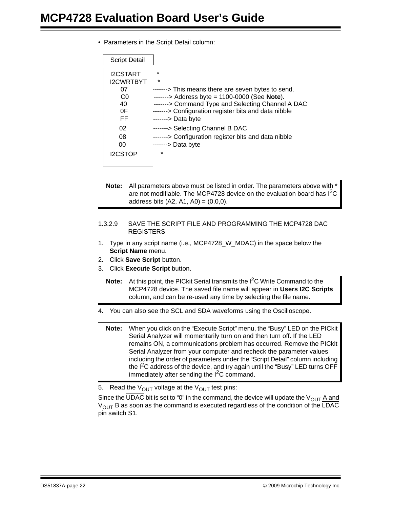• Parameters in the Script Detail column:

| <b>Script Detail</b> |                                                    |
|----------------------|----------------------------------------------------|
| <b>I2CSTART</b>      | $\star$                                            |
| <b>I2CWRTBYT</b>     | $\star$                                            |
| 07                   | -> This means there are seven bytes to send.       |
| C <sub>0</sub>       | $\Rightarrow$ Address byte = 1100-0000 (See Note). |
| 40                   | -> Command Type and Selecting Channel A DAC        |
| 0F                   | -> Configuration register bits and data nibble     |
| FF                   | -> Data byte                                       |
| 02                   | -> Selecting Channel B DAC                         |
| 08                   | -> Configuration register bits and data nibble     |
| 00                   | -> Data byte                                       |
| <b>I2CSTOP</b>       | $\star$                                            |

**Note:** All parameters above must be listed in order. The parameters above with \* are not modifiable. The MCP4728 device on the evaluation board has I<sup>2</sup>C address bits  $(A2, A1, A0) = (0,0,0)$ .

#### 1.3.2.9 SAVE THE SCRIPT FILE AND PROGRAMMING THE MCP4728 DAC REGISTERS

- 1. Type in any script name (i.e., MCP4728\_W\_MDAC) in the space below the **Script Name** menu.
- 2. Click **Save Script** button.
- 3. Click **Execute Script** button.

**Note:** At this point, the PICkit Serial transmits the I<sup>2</sup>C Write Command to the MCP4728 device. The saved file name will appear in **Users I2C Scripts** column, and can be re-used any time by selecting the file name.

4. You can also see the SCL and SDA waveforms using the Oscilloscope.

**Note:** When you click on the "Execute Script" menu, the "Busy" LED on the PICkit Serial Analyzer will momentarily turn on and then turn off. If the LED remains ON, a communications problem has occurred. Remove the PICkit Serial Analyzer from your computer and recheck the parameter values including the order of parameters under the "Script Detail" column including the  $I^2C$  address of the device, and try again until the "Busy" LED turns OFF immediately after sending the  $I^2C$  command.

5. Read the  $V_{\text{OUT}}$  voltage at the  $V_{\text{OUT}}$  test pins:

Since the UDAC bit is set to "0" in the command, the device will update the  $V_{\text{OUT}}$  A and  $V_{\text{OUT}}$  B as soon as the command is executed regardless of the condition of the LDAC pin switch S1.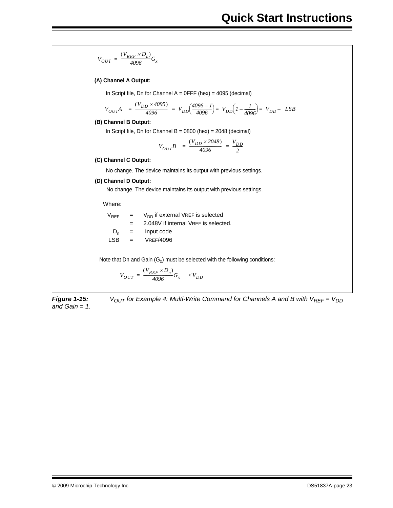| $V_{OUT} = \frac{(V_{REF} \times D_n)}{4006} G_x$ |                                                                                                                                                        |  |  |  |  |  |
|---------------------------------------------------|--------------------------------------------------------------------------------------------------------------------------------------------------------|--|--|--|--|--|
| (A) Channel A Output:                             |                                                                                                                                                        |  |  |  |  |  |
|                                                   | In Script file, Dn for Channel $A = 0$ FFF (hex) = 4095 (decimal)                                                                                      |  |  |  |  |  |
|                                                   | $V_{OUT}A = \frac{(V_{DD} \times 4095)}{4096} = V_{DD} \left( \frac{4096 - I}{4096} \right) = V_{DD} \left( I - \frac{I}{4096} \right) = V_{DD} - LSB$ |  |  |  |  |  |
| (B) Channel B Output:                             |                                                                                                                                                        |  |  |  |  |  |
|                                                   | In Script file, Dn for Channel B = $0800$ (hex) = $2048$ (decimal)                                                                                     |  |  |  |  |  |
|                                                   | $V_{OUT}B = \frac{(V_{DD} \times 2048)}{4006} = \frac{V_{DD}}{2}$                                                                                      |  |  |  |  |  |
| (C) Channel C Output:                             |                                                                                                                                                        |  |  |  |  |  |
|                                                   | No change. The device maintains its output with previous settings.                                                                                     |  |  |  |  |  |
| (D) Channel D Output:                             |                                                                                                                                                        |  |  |  |  |  |
|                                                   | No change. The device maintains its output with previous settings.                                                                                     |  |  |  |  |  |
| Where:                                            |                                                                                                                                                        |  |  |  |  |  |
|                                                   | $V_{REF}$ = $V_{DD}$ if external VREF is selected                                                                                                      |  |  |  |  |  |
|                                                   | 2.048V if internal VREF is selected.<br>$=$                                                                                                            |  |  |  |  |  |
| $D_n$                                             | $=$ Input code                                                                                                                                         |  |  |  |  |  |
| <b>LSB</b>                                        | <b>VREF/4096</b><br>$=$                                                                                                                                |  |  |  |  |  |
|                                                   | Note that Dn and Gain $(G_x)$ must be selected with the following conditions:                                                                          |  |  |  |  |  |
|                                                   | $V_{OUT} = \frac{(V_{REF} \times D_n)}{4006} G_x \quad \leq V_{DD}$                                                                                    |  |  |  |  |  |

*and Gain = 1.*

*V*<sub>OUT</sub> for Example 4: Multi-Write Command for Channels A and B with V<sub>REF</sub> = V<sub>DD</sub>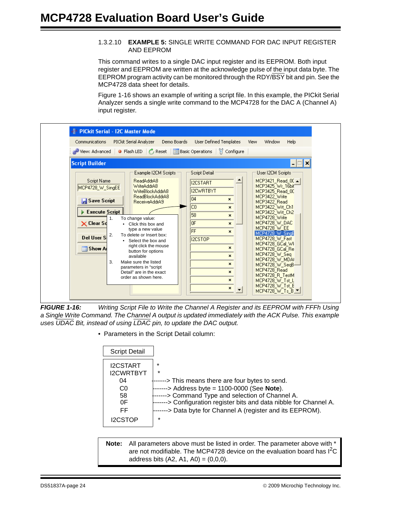#### 1.3.2.10 **EXAMPLE 5:** SINGLE WRITE COMMAND FOR DAC INPUT REGISTER AND EEPROM

This command writes to a single DAC input register and its EEPROM. Both input register and EEPROM are written at the acknowledge pulse of the input data byte. The EEPROM program activity can be monitored through the RDY/BSY bit and pin. See the MCP4728 data sheet for details.

[Figure 1-16](#page-27-0) shows an example of writing a script file. In this example, the PICkit Serial Analyzer sends a single write command to the MCP4728 for the DAC A (Channel A) input register.



<span id="page-27-0"></span>*FIGURE 1-16: Writing Script File to Write the Channel A Register and its EEPROM with FFFh Using a Single Write Command. The Channel A output is updated immediately with the ACK Pulse. This example uses UDAC Bit, instead of using LDAC pin, to update the DAC output.*

• Parameters in the Script Detail column:

| <b>Script Detail</b> |                                                               |
|----------------------|---------------------------------------------------------------|
| <b>I2CSTART</b>      | $\star$                                                       |
| <b>I2CWRTBYT</b>     | $\star$                                                       |
| 04                   | -> This means there are four bytes to send.                   |
| C <sub>0</sub>       | -> Address byte = $1100-0000$ (See Note).                     |
| 58                   | -> Command Type and selection of Channel A.                   |
| 0F                   | -> Configuration register bits and data nibble for Channel A. |
| FF                   | -> Data byte for Channel A (register and its EEPROM).         |
| I2CSTOP              | $\star$                                                       |

**Note:** All parameters above must be listed in order. The parameter above with \* are not modifiable. The MCP4728 device on the evaluation board has  ${}^{12}C$ address bits  $(A2, A1, A0) = (0,0,0)$ .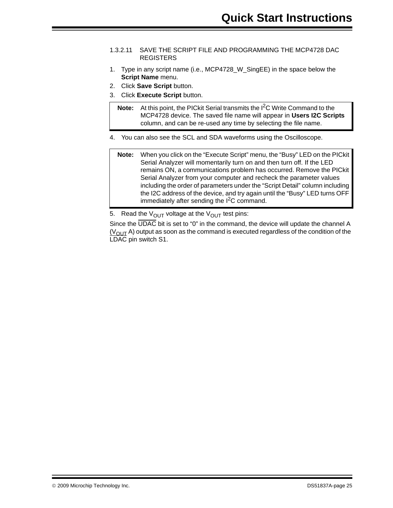#### 1.3.2.11 SAVE THE SCRIPT FILE AND PROGRAMMING THE MCP4728 DAC REGISTERS

- 1. Type in any script name (i.e., MCP4728\_W\_SingEE) in the space below the **Script Name** menu.
- 2. Click **Save Script** button.
- 3. Click **Execute Script** button.

**Note:** At this point, the PIC kit Serial transmits the I<sup>2</sup>C Write Command to the MCP4728 device. The saved file name will appear in **Users I2C Scripts** column, and can be re-used any time by selecting the file name.

4. You can also see the SCL and SDA waveforms using the Oscilloscope.

**Note:** When you click on the "Execute Script" menu, the "Busy" LED on the PICkit Serial Analyzer will momentarily turn on and then turn off. If the LED remains ON, a communications problem has occurred. Remove the PICkit Serial Analyzer from your computer and recheck the parameter values including the order of parameters under the "Script Detail" column including the I2C address of the device, and try again until the "Busy" LED turns OFF immediately after sending the  $I<sup>2</sup>C$  command.

5. Read the  $V_{\text{OUT}}$  voltage at the  $V_{\text{OUT}}$  test pins:

Since the UDAC bit is set to "0" in the command, the device will update the channel A  $(V<sub>OUT</sub> A)$  output as soon as the command is executed regardless of the condition of the LDAC pin switch S1.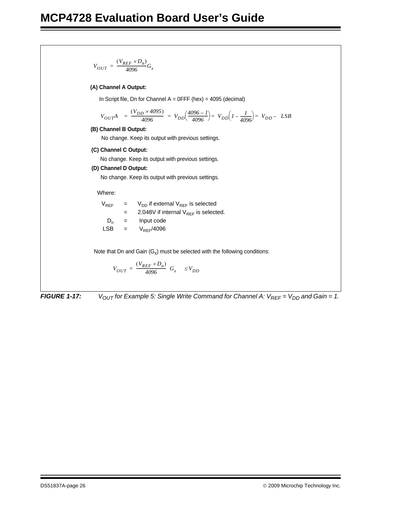$$
V_{OUT} = \frac{(V_{REF} \times D_n)}{4096} G_x
$$

#### **(A) Channel A Output:**

In Script file, Dn for Channel  $A = 0$ FFF (hex) = 4095 (decimal)

$$
V_{OUT}A = \frac{(V_{DD} \times 4095)}{4096} = V_{DD} \left(\frac{4096 - I}{4096}\right) = V_{DD} \left(I - \frac{I}{4096}\right) = V_{DD} - LSB
$$

#### **(B) Channel B Output:**

No change. Keep its output with previous settings.

#### **(C) Channel C Output:**

No change. Keep its output with previous settings.

### **(D) Channel D Output:**

No change. Keep its output with previous settings.

Where:

| $V_{REF}$ = |                           | $V_{DD}$ if external $V_{RFF}$ is selected |  |  |
|-------------|---------------------------|--------------------------------------------|--|--|
|             | $=$                       | 2.048V if internal $V_{RFF}$ is selected.  |  |  |
| $D_n$       | $\equiv$                  | Input code                                 |  |  |
| LSB.        | $\mathbf{r} = \mathbf{r}$ | $V_{BFE}$ /4096                            |  |  |

Note that Dn and Gain  $(G_x)$  must be selected with the following conditions:

$$
V_{OUT} = \frac{(V_{REF} \times D_n)}{4096} G_x \le V_{DD}
$$

**FIGURE 1-17:**  $V_{OUT}$  for Example 5: Single Write Command for Channel A:  $V_{REF} = V_{DD}$  and Gain = 1.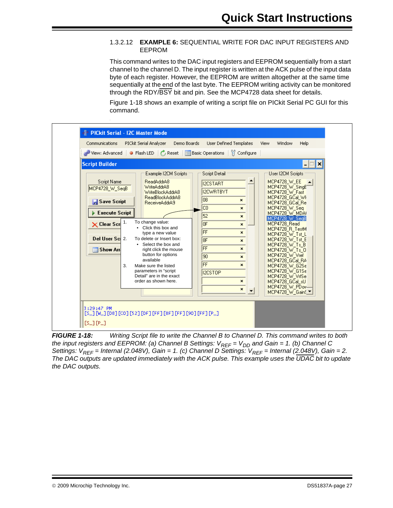#### <span id="page-30-1"></span>1.3.2.12 **EXAMPLE 6:** SEQUENTIAL WRITE FOR DAC INPUT REGISTERS AND EEPROM

This command writes to the DAC input registers and EEPROM sequentially from a start channel to the channel D. The input register is written at the ACK pulse of the input data byte of each register. However, the EEPROM are written altogether at the same time sequentially at the end of the last byte. The EEPROM writing activity can be monitored through the RDY/BSY bit and pin. See the MCP4728 data sheet for details.

[Figure 1-18](#page-30-0) shows an example of writing a script file on PICkit Serial PC GUI for this command.



<span id="page-30-0"></span>*FIGURE 1-18: Writing Script file to write the Channel B to Channel D. This command writes to both the input registers and EEPROM: (a) Channel B Settings: V<sub>REF</sub> = V<sub>DD</sub> and Gain = 1. (b) Channel C Settings: V<sub>REF</sub> = Internal (2.048V), Gain = 1. (c) Channel D Settings: V<sub>REF</sub> = Internal (2.048V), Gain = 2. The DAC outputs are updated immediately with the ACK pulse. This example uses the UDAC bit to update the DAC outputs.*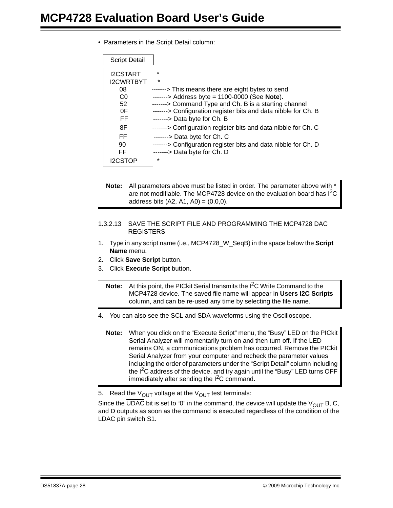• Parameters in the Script Detail column:

| <b>Script Detail</b>                                              |                                                                                                                                                                                                                                                            |
|-------------------------------------------------------------------|------------------------------------------------------------------------------------------------------------------------------------------------------------------------------------------------------------------------------------------------------------|
| <b>I2CSTART</b><br><b>I2CWRTBYT</b><br>08<br>C0<br>52<br>0F<br>FF | $\star$<br>$\star$<br>-> This means there are eight bytes to send.<br>$\geq$ Address byte = 1100-0000 (See Note).<br>-> Command Type and Ch. B is a starting channel<br>-> Configuration register bits and data nibble for Ch. B<br>-> Data byte for Ch. B |
| 8F                                                                | -> Configuration register bits and data nibble for Ch. C                                                                                                                                                                                                   |
| FF                                                                | -> Data byte for Ch. C                                                                                                                                                                                                                                     |
| 90<br>FF                                                          | -> Configuration register bits and data nibble for Ch. D<br>-> Data byte for Ch. D                                                                                                                                                                         |
| I2CSTOP                                                           | $\star$                                                                                                                                                                                                                                                    |

**Note:** All parameters above must be listed in order. The parameter above with \* are not modifiable. The MCP4728 device on the evaluation board has I<sup>2</sup>C address bits  $(A2, A1, A0) = (0,0,0)$ .

#### 1.3.2.13 SAVE THE SCRIPT FILE AND PROGRAMMING THE MCP4728 DAC REGISTERS

- 1. Type in any script name (i.e., MCP4728\_W\_SeqB) in the space below the **Script Name** menu.
- 2. Click **Save Script** button.
- 3. Click **Execute Script** button.

**Note:** At this point, the PIC kit Serial transmits the I<sup>2</sup>C Write Command to the MCP4728 device. The saved file name will appear in **Users I2C Scripts** column, and can be re-used any time by selecting the file name.

4. You can also see the SCL and SDA waveforms using the Oscilloscope.

**Note:** When you click on the "Execute Script" menu, the "Busy" LED on the PICkit Serial Analyzer will momentarily turn on and then turn off. If the LED remains ON, a communications problem has occurred. Remove the PICkit Serial Analyzer from your computer and recheck the parameter values including the order of parameters under the "Script Detail" column including the  $I^2C$  address of the device, and try again until the "Busy" LED turns OFF immediately after sending the  $I<sup>2</sup>C$  command.

5. Read the V<sub>OUT</sub> voltage at the V<sub>OUT</sub> test terminals:

Since the UDAC bit is set to "0" in the command, the device will update the  $V_{\text{OUT}}$  B, C, and D outputs as soon as the command is executed regardless of the condition of the LDAC pin switch S1.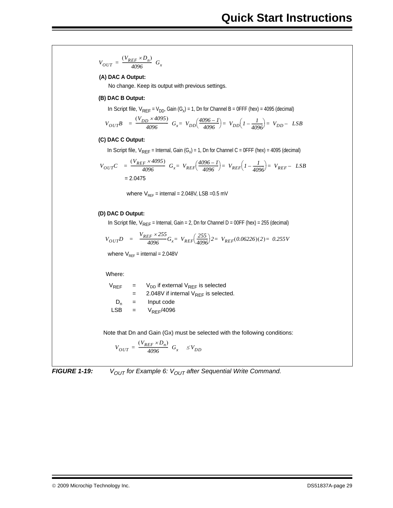$V_{OUT} = \frac{(V_{REF} \times D_n)}{4096} G_x$ Where:  $V_{REF}$  =  $V_{DD}$  if external  $V_{REF}$  is selected  $= 2.048V$  if internal  $V_{REF}$  is selected.  $D_n =$  Input code LSB =  $V_{REF}/4096$  $V_{OUT}B = \frac{(V_{DD} \times 4095)}{4096} G_x = V_{DD} \left(\frac{4096 - I}{4096}\right) = V_{DD} \left(1 - \frac{I}{4096}\right) = V_{DD} - LSB$ In Script file,  $V_{REF} = V_{DD}$ , Gain (G<sub>x</sub>) = 1, Dn for Channel B = 0FFF (hex) = 4095 (decimal) **(A) DAC A Output:** Note that Dn and Gain (Gx) must be selected with the following conditions: **(B) DAC B Output: (C) DAC C Output: (D) DAC D Output:** No change. Keep its output with previous settings. In Script file,  $V_{REF}$  = Internal, Gain (G<sub>x</sub>) = 1, Dn for Channel C = 0FFF (hex) = 4095 (decimal)  $V_{OUT}C = \frac{(V_{REF} \times 4095)}{4096} G_x = V_{REF} \left(\frac{4096 - I}{4096}\right) = V_{REF} \left(1 - \frac{I}{4096}\right) = V_{REF} - LSB$ where  $V_{REF}$  = internal = 2.048V, LSB = 0.5 mV In Script file,  $V_{RFF}$  = Internal, Gain = 2, Dn for Channel D = 00FF (hex) = 255 (decimal)  $V_{OUT}D = \frac{V_{REF} \times 255}{4096} G_x = V_{REF} \left(\frac{255}{4096}\right)$  $=$   $\frac{V_{REF} \times 255}{4096} G_x = V_{REF} \left( \frac{255}{4096} \right) = 2 = V_{REF} (0.06226)(2) = 0.255V$  $= 2.0475$ where  $V_{REF}$  = internal = 2.048V

$$
V_{OUT} = \frac{(V_{REF} \times D_n)}{4096} G_x \leq V_{DD}
$$



*FIGURE 1-19: V*<sub>OUT</sub> for Example 6: V<sub>OUT</sub> after Sequential Write Command.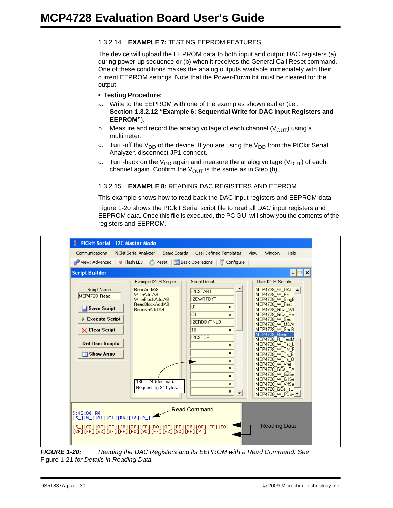#### 1.3.2.14 **EXAMPLE 7:** TESTING EEPROM FEATURES

The device will upload the EEPROM data to both input and output DAC registers (a) during power-up sequence or (b) when it receives the General Call Reset command. One of these conditions makes the analog outputs available immediately with their current EEPROM settings. Note that the Power-Down bit must be cleared for the output.

- **Testing Procedure:**
- a. Write to the EEPROM with one of the examples shown earlier (i.e., **[Section 1.3.2.12 "Example 6: Sequential Write for DAC Input Registers and](#page-30-1)  [EEPROM"](#page-30-1)**).
- b. Measure and record the analog voltage of each channel  $(V_{\text{OUT}})$  using a multimeter.
- c. Turn-off the  $V_{DD}$  of the device. If you are using the  $V_{DD}$  from the PICkit Serial Analyzer, disconnect JP1 connect.
- d. Turn-back on the  $V_{DD}$  again and measure the analog voltage ( $V_{OUT}$ ) of each channel again. Confirm the  $V_{\text{OUT}}$  is the same as in Step (b).

#### 1.3.2.15 **EXAMPLE 8:** READING DAC REGISTERS AND EEPROM

This example shows how to read back the DAC input registers and EEPROM data.

[Figure 1-20](#page-33-0) shows the PICkit Serial script file to read all DAC input registers and EEPROM data. Once this file is executed, the PC GUI will show you the contents of the registers and EEPROM.



<span id="page-33-0"></span>*FIGURE 1-20: Reading the DAC Registers and its EEPROM with a Read Command. See*  [Figure 1-21](#page-34-0) *for Details in Reading Data.*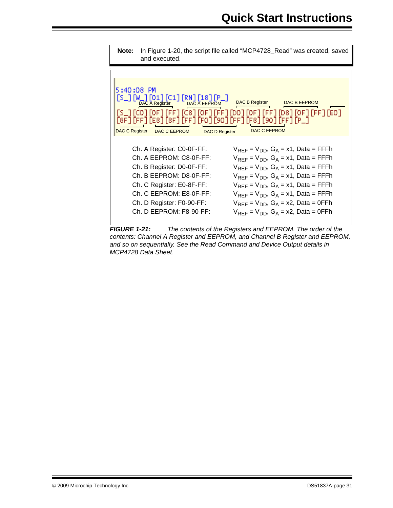



<span id="page-34-0"></span>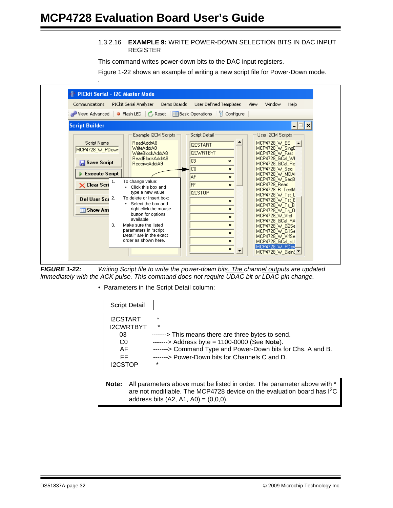#### 1.3.2.16 **EXAMPLE 9:** WRITE POWER-DOWN SELECTION BITS IN DAC INPUT REGISTER

This command writes power-down bits to the DAC input registers. [Figure 1-22](#page-35-0) shows an example of writing a new script file for Power-Down mode.



<span id="page-35-0"></span>*FIGURE 1-22: Writing Script file to write the power-down bits. The channel outputs are updated immediately with the ACK pulse. This command does not require UDAC bit or LDAC pin change.*

• Parameters in the Script Detail column:

| <b>Script Detail</b> |                                                       |
|----------------------|-------------------------------------------------------|
| <b>I2CSTART</b>      | $\star$                                               |
| <b>I2CWRTBYT</b>     | $\star$                                               |
| 03                   | -> This means there are three bytes to send.          |
| C <sub>0</sub>       | -> Address byte = $1100-0000$ (See Note).             |
| AF                   | -> Command Type and Power-Down bits for Chs. A and B. |
| FF                   | -> Power-Down bits for Channels C and D.              |
| I2CSTOP              | $\star$                                               |

**Note:** All parameters above must be listed in order. The parameter above with \* are not modifiable. The MCP4728 device on the evaluation board has I<sup>2</sup>C address bits  $(A2, A1, A0) = (0,0,0)$ .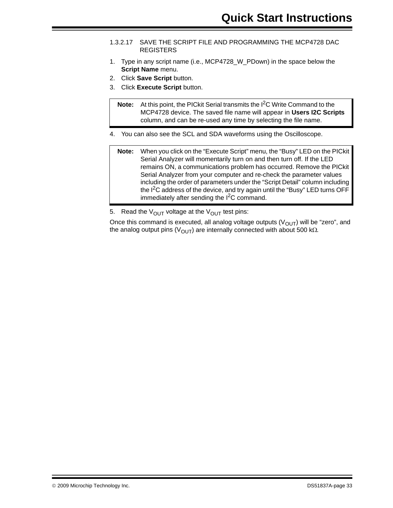#### 1.3.2.17 SAVE THE SCRIPT FILE AND PROGRAMMING THE MCP4728 DAC REGISTERS

- 1. Type in any script name (i.e., MCP4728\_W\_PDown) in the space below the **Script Name** menu.
- 2. Click **Save Script** button.
- 3. Click **Execute Script** button.

**Note:** At this point, the PIC kit Serial transmits the I<sup>2</sup>C Write Command to the MCP4728 device. The saved file name will appear in **Users I2C Scripts** column, and can be re-used any time by selecting the file name.

4. You can also see the SCL and SDA waveforms using the Oscilloscope.

**Note:** When you click on the "Execute Script" menu, the "Busy" LED on the PICkit Serial Analyzer will momentarily turn on and then turn off. If the LED remains ON, a communications problem has occurred. Remove the PICkit Serial Analyzer from your computer and re-check the parameter values including the order of parameters under the "Script Detail" column including the  $I<sup>2</sup>C$  address of the device, and try again until the "Busy" LED turns OFF immediately after sending the  $I<sup>2</sup>C$  command.

5. Read the  $V_{\text{OUT}}$  voltage at the  $V_{\text{OUT}}$  test pins:

Once this command is executed, all analog voltage outputs  $(V_{OUT})$  will be "zero", and the analog output pins ( $V_{\text{OUT}}$ ) are internally connected with about 500 kΩ.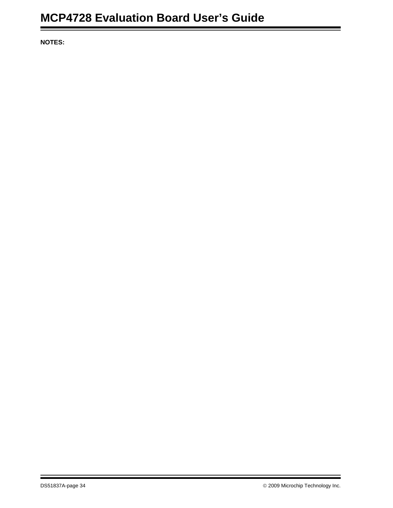**NOTES:**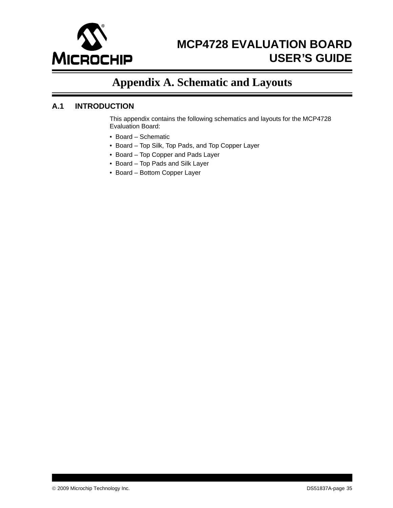

# <span id="page-38-2"></span>**MCP4728 EVALUATION BOARD USER'S GUIDE**

# **Appendix A. Schematic and Layouts**

### <span id="page-38-1"></span><span id="page-38-0"></span>**A.1 INTRODUCTION**

This appendix contains the following schematics and layouts for the MCP4728 Evaluation Board:

- Board Schematic
- Board Top Silk, Top Pads, and Top Copper Layer
- Board Top Copper and Pads Layer
- Board Top Pads and Silk Layer
- Board Bottom Copper Layer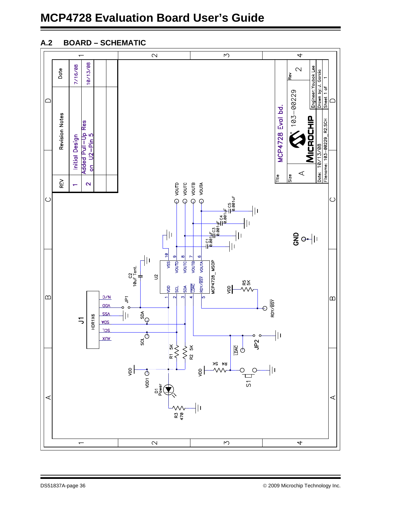# <span id="page-39-0"></span>**A.2 BOARD – SCHEMATIC**

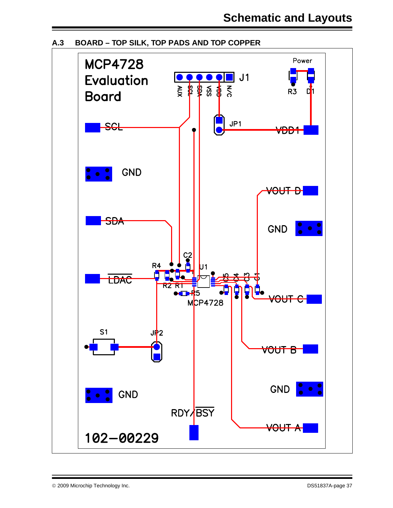<span id="page-40-0"></span>

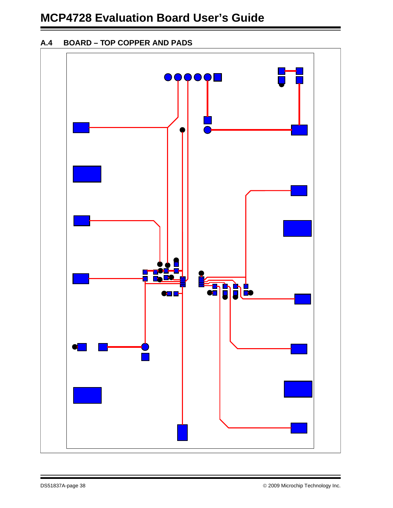# <span id="page-41-0"></span>**A.4 BOARD – TOP COPPER AND PADS**

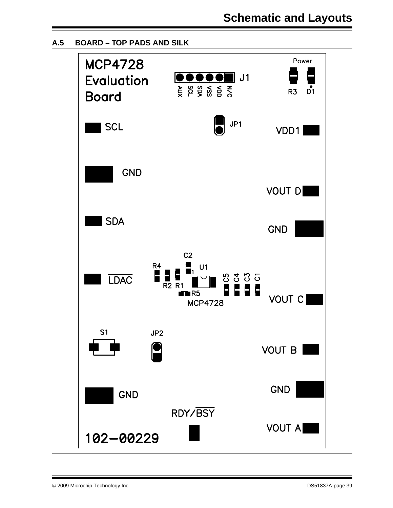<span id="page-42-0"></span>

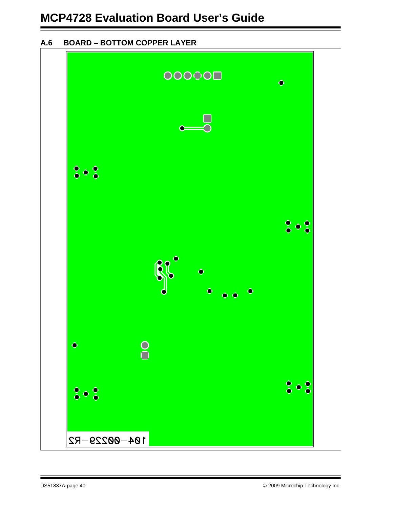## <span id="page-43-0"></span>**A.6 BOARD – BOTTOM COPPER LAYER**

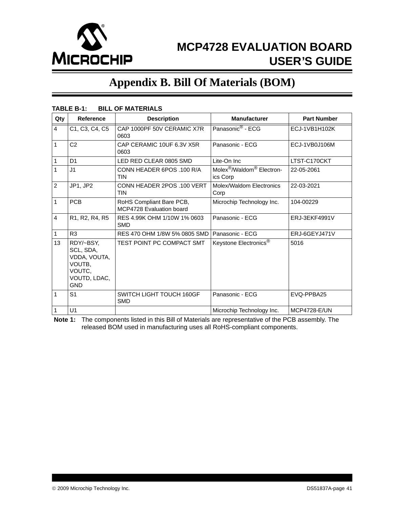

# <span id="page-44-1"></span>**MCP4728 EVALUATION BOARD USER'S GUIDE**

# **Appendix B. Bill Of Materials (BOM)**

| Qty            | Reference                                                                                | <b>Description</b>                                   | <b>Manufacturer</b>                                           | <b>Part Number</b>  |  |
|----------------|------------------------------------------------------------------------------------------|------------------------------------------------------|---------------------------------------------------------------|---------------------|--|
| 4              | C1, C3, C4, C5                                                                           | CAP 1000PF 50V CERAMIC X7R<br>0603                   | Panasonic <sup>®</sup> - ECG                                  | ECJ-1VB1H102K       |  |
| 1              | C <sub>2</sub>                                                                           | CAP CERAMIC 10UF 6.3V X5R<br>0603                    | Panasonic - ECG                                               | ECJ-1VB0J106M       |  |
| $\mathbf{1}$   | D <sub>1</sub>                                                                           | LED RED CLEAR 0805 SMD                               | Lite-On Inc                                                   | LTST-C170CKT        |  |
| 1              | J <sub>1</sub>                                                                           | CONN HEADER 6POS .100 R/A<br>TIN                     | Molex <sup>®</sup> /Waldom <sup>®</sup> Electron-<br>ics Corp | 22-05-2061          |  |
| $\overline{2}$ | JP1, JP2                                                                                 | CONN HEADER 2POS .100 VERT<br>TIN                    | Molex/Waldom Electronics<br>Corp                              | 22-03-2021          |  |
| $\mathbf{1}$   | <b>PCB</b>                                                                               | RoHS Compliant Bare PCB,<br>MCP4728 Evaluation board | Microchip Technology Inc.                                     | 104-00229           |  |
| $\overline{4}$ | R <sub>1</sub> , R <sub>2</sub> , R <sub>4</sub> , R <sub>5</sub>                        | RES 4.99K OHM 1/10W 1% 0603<br><b>SMD</b>            | Panasonic - ECG                                               | ERJ-3EKF4991V       |  |
| 1              | R <sub>3</sub>                                                                           | RES 470 OHM 1/8W 5% 0805 SMD                         | Panasonic - ECG                                               | ERJ-6GEYJ471V       |  |
| 13             | RDY/~BSY,<br>SCL, SDA,<br>VDDA, VOUTA,<br>VOUTB,<br>VOUTC,<br>VOUTD, LDAC,<br><b>GND</b> | TEST POINT PC COMPACT SMT                            | Keystone Electronics <sup>®</sup>                             | 5016                |  |
| 1              | S <sub>1</sub>                                                                           | <b>SWITCH LIGHT TOUCH 160GF</b><br><b>SMD</b>        | Panasonic - ECG                                               | EVQ-PPBA25          |  |
| 1              | U1                                                                                       |                                                      | Microchip Technology Inc.                                     | <b>MCP4728-E/UN</b> |  |

### <span id="page-44-0"></span>**TABLE B-1: BILL OF MATERIALS**

**Note 1:** The components listed in this Bill of Materials are representative of the PCB assembly. The released BOM used in manufacturing uses all RoHS-compliant components.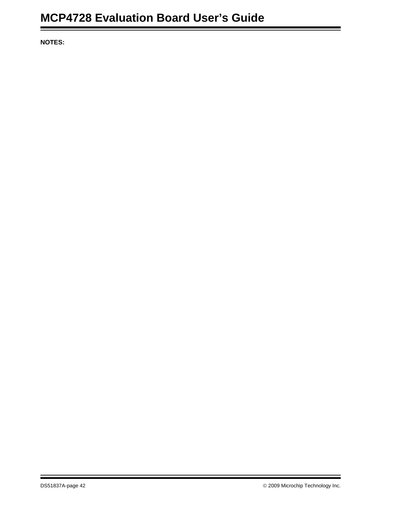**NOTES:**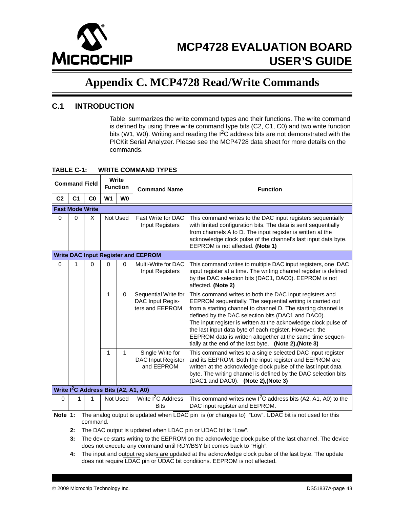

# <span id="page-46-2"></span>**MCP4728 EVALUATION BOARD USER'S GUIDE**

# **Appendix C. MCP4728 Read/Write Commands**

### <span id="page-46-1"></span><span id="page-46-0"></span>**C.1 INTRODUCTION**

<span id="page-46-6"></span>[Table](#page-46-6) summarizes the write command types and their functions. The write command is defined by using three write command type bits (C2, C1, C0) and two write function bits (W1, W0). Writing and reading the  $I^2C$  address bits are not demonstrated with the PICKit Serial Analyzer. Please see the MCP4728 data sheet for more details on the commands.

| <b>Command Field</b>                                                                                                              |                        | Write<br><b>Function</b> |                | <b>Command Name</b> | <b>Function</b>                                             |                                                                                                                                                                                                                                                                                                                                                                                                                                                                                                    |  |  |
|-----------------------------------------------------------------------------------------------------------------------------------|------------------------|--------------------------|----------------|---------------------|-------------------------------------------------------------|----------------------------------------------------------------------------------------------------------------------------------------------------------------------------------------------------------------------------------------------------------------------------------------------------------------------------------------------------------------------------------------------------------------------------------------------------------------------------------------------------|--|--|
| C <sub>2</sub>                                                                                                                    | C <sub>1</sub>         | C <sub>0</sub>           | W <sub>1</sub> | W0                  |                                                             |                                                                                                                                                                                                                                                                                                                                                                                                                                                                                                    |  |  |
|                                                                                                                                   | <b>Fast Mode Write</b> |                          |                |                     |                                                             |                                                                                                                                                                                                                                                                                                                                                                                                                                                                                                    |  |  |
| $\Omega$                                                                                                                          | $\Omega$               | X                        | Not Used       |                     | <b>Fast Write for DAC</b><br>Input Registers                | This command writes to the DAC input registers sequentially<br>with limited configuration bits. The data is sent sequentially<br>from channels A to D. The input register is written at the<br>acknowledge clock pulse of the channel's last input data byte.<br>EEPROM is not affected. (Note 1)                                                                                                                                                                                                  |  |  |
|                                                                                                                                   |                        |                          |                |                     | <b>Write DAC Input Register and EEPROM</b>                  |                                                                                                                                                                                                                                                                                                                                                                                                                                                                                                    |  |  |
| $\Omega$                                                                                                                          | 1                      | $\Omega$                 | $\Omega$       | $\Omega$            | Multi-Write for DAC<br>Input Registers                      | This command writes to multiple DAC input registers, one DAC<br>input register at a time. The writing channel register is defined<br>by the DAC selection bits (DAC1, DAC0). EEPROM is not<br>affected. (Note 2)                                                                                                                                                                                                                                                                                   |  |  |
|                                                                                                                                   |                        |                          | $\mathbf{1}$   | $\Omega$            | Sequential Write for<br>DAC Input Regis-<br>ters and EEPROM | This command writes to both the DAC input registers and<br>EEPROM sequentially. The sequential writing is carried out<br>from a starting channel to channel D. The starting channel is<br>defined by the DAC selection bits (DAC1 and DAC0).<br>The input register is written at the acknowledge clock pulse of<br>the last input data byte of each register. However, the<br>EEPROM data is written altogether at the same time sequen-<br>tially at the end of the last byte. (Note 2), (Note 3) |  |  |
|                                                                                                                                   |                        |                          | $\mathbf{1}$   | $\mathbf{1}$        | Single Write for<br><b>DAC Input Register</b><br>and EEPROM | This command writes to a single selected DAC input register<br>and its EEPROM. Both the input register and EEPROM are<br>written at the acknowledge clock pulse of the last input data<br>byte. The writing channel is defined by the DAC selection bits<br>(DAC1 and DAC0). (Note 2), (Note 3)                                                                                                                                                                                                    |  |  |
|                                                                                                                                   |                        |                          |                |                     | Write <sup>2</sup> C Address Bits (A2, A1, A0)              |                                                                                                                                                                                                                                                                                                                                                                                                                                                                                                    |  |  |
| 0                                                                                                                                 | 1                      | 1                        |                | Not Used            | Write I <sup>2</sup> C Address<br><b>Bits</b>               | This command writes new $1^2C$ address bits (A2, A1, A0) to the<br>DAC input register and EEPROM.                                                                                                                                                                                                                                                                                                                                                                                                  |  |  |
| Note 1: The analog output is undated when $\overline{DAC}$ pin is (or changes to) "LOM" $\overline{DAC}$ bit is not used for this |                        |                          |                |                     |                                                             |                                                                                                                                                                                                                                                                                                                                                                                                                                                                                                    |  |  |

#### **TABLE C-1: WRITE COMMAND TYPES**

<span id="page-46-4"></span><span id="page-46-3"></span>**Note 1:** The analog output is updated when LDAC pin is (or changes to) "Low". UDAC bit is not used for this command.

**2:** The DAC output is updated when LDAC pin or UDAC bit is "Low".

<span id="page-46-5"></span>**3:** The device starts writing to the EEPROM on the acknowledge clock pulse of the last channel. The device does not execute any command until RDY/BSY bit comes back to "High".

<span id="page-46-7"></span>**4:** The input and output registers are updated at the acknowledge clock pulse of the last byte. The update does not require LDAC pin or UDAC bit conditions. EEPROM is not affected.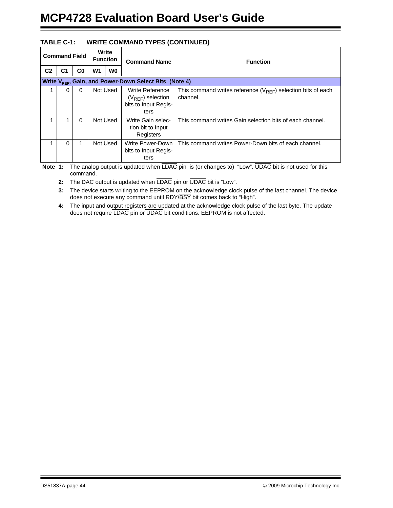| <b>Command Field</b> |    | Write<br><b>Function</b> |                | <b>Command Name</b> | <b>Function</b>                                                          |                                                                                                          |
|----------------------|----|--------------------------|----------------|---------------------|--------------------------------------------------------------------------|----------------------------------------------------------------------------------------------------------|
| C <sub>2</sub>       | C1 | C <sub>0</sub>           | W <sub>1</sub> | W <sub>0</sub>      |                                                                          |                                                                                                          |
|                      |    |                          |                |                     | Write V <sub>RFF</sub> , Gain, and Power-Down Select Bits (Note 4)       |                                                                                                          |
|                      | 0  | 0                        |                | Not Used            | Write Reference<br>$(V_{RFF})$ selection<br>bits to Input Regis-<br>ters | This command writes reference $(V_{REF})$ selection bits of each<br>channel.                             |
|                      |    | 0                        | Not Used       |                     | Write Gain selec-<br>tion bit to Input<br>Registers                      | This command writes Gain selection bits of each channel.                                                 |
|                      | 0  |                          | Not Used       |                     | Write Power-Down<br>bits to Input Regis-<br>ters                         | This command writes Power-Down bits of each channel.<br>TI I III ILLII INAN II I IVALMININANII I III III |

### **TABLE C-1: WRITE COMMAND TYPES (CONTINUED)**

**Note 1:** The analog output is updated when  $\overline{LDAC}$  pin is (or changes to) "Low". UDAC bit is not used for this command.

**2:** The DAC output is updated when LDAC pin or UDAC bit is "Low".

**3:** The device starts writing to the EEPROM on the acknowledge clock pulse of the last channel. The device does not execute any command until RDY/BSY bit comes back to "High".

**4:** The input and output registers are updated at the acknowledge clock pulse of the last byte. The update does not require LDAC pin or UDAC bit conditions. EEPROM is not affected.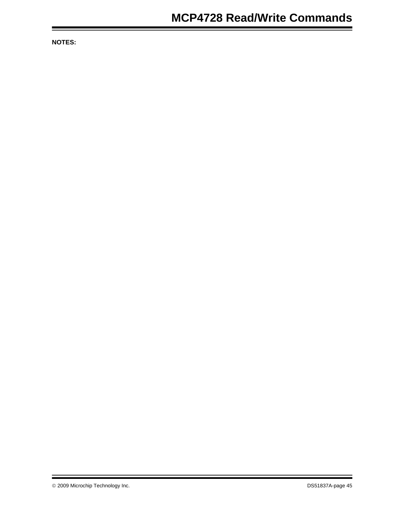**NOTES:**